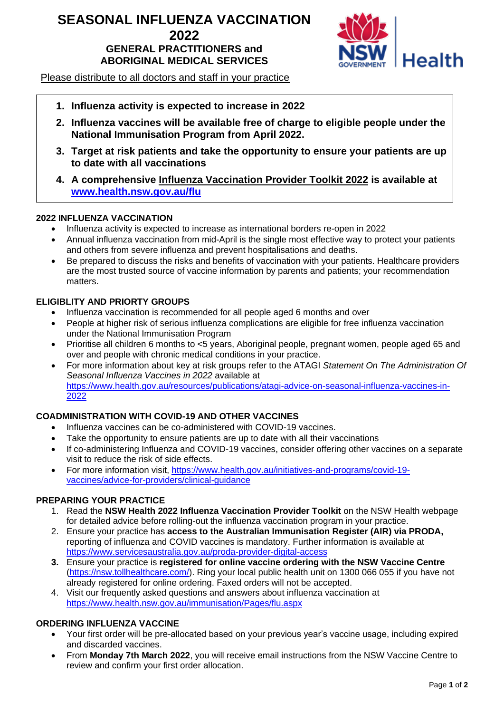# **SEASONAL INFLUENZA VACCINATION 2022 GENERAL PRACTITIONERS and ABORIGINAL MEDICAL SERVICES**



Please distribute to all doctors and staff in your practice

- **1. Influenza activity is expected to increase in 2022**
- **2. Influenza vaccines will be available free of charge to eligible people under the National Immunisation Program from April 2022.**
- **3. Target at risk patients and take the opportunity to ensure your patients are up to date with all vaccinations**
- **4. A comprehensive Influenza Vaccination Provider Toolkit 2022 is available at [www.health.nsw.gov.au/flu](http://www.health.nsw.gov.au/flu)**

#### **2022 INFLUENZA VACCINATION**

- Influenza activity is expected to increase as international borders re-open in 2022
- Annual influenza vaccination from mid-April is the single most effective way to protect your patients and others from severe influenza and prevent hospitalisations and deaths.
- Be prepared to discuss the risks and benefits of vaccination with your patients. Healthcare providers are the most trusted source of vaccine information by parents and patients; your recommendation matters.

#### **ELIGIBLITY AND PRIORTY GROUPS**

- Influenza vaccination is recommended for all people aged 6 months and over
- People at higher risk of serious influenza complications are eligible for free influenza vaccination under the National Immunisation Program
- Prioritise all children 6 months to <5 years, Aboriginal people, pregnant women, people aged 65 and over and people with chronic medical conditions in your practice.
- For more information about key at risk groups refer to the ATAGI *Statement On The Administration Of Seasonal Influenza Vaccines in 2022* available at [https://www.health.gov.au/resources/publications/atagi-advice-on-seasonal-influenza-vaccines-in-](https://www.health.gov.au/resources/publications/atagi-advice-on-seasonal-influenza-vaccines-in-2022)[2022](https://www.health.gov.au/resources/publications/atagi-advice-on-seasonal-influenza-vaccines-in-2022)

### **COADMINISTRATION WITH COVID-19 AND OTHER VACCINES**

- Influenza vaccines can be co-administered with COVID-19 vaccines.
- Take the opportunity to ensure patients are up to date with all their vaccinations
- If co-administering Influenza and COVID-19 vaccines, consider offering other vaccines on a separate visit to reduce the risk of side effects.
- For more information visit, [https://www.health.gov.au/initiatives-and-programs/covid-19](https://www.health.gov.au/initiatives-and-programs/covid-19-vaccines/advice-for-providers/clinical-guidance) [vaccines/advice-for-providers/clinical-guidance](https://www.health.gov.au/initiatives-and-programs/covid-19-vaccines/advice-for-providers/clinical-guidance)

### **PREPARING YOUR PRACTICE**

- 1. Read the **NSW Health 2022 Influenza Vaccination Provider Toolkit** on the NSW Health webpage for detailed advice before rolling-out the influenza vaccination program in your practice.
- 2. Ensure your practice has **access to the Australian Immunisation Register (AIR) via PRODA,** reporting of influenza and COVID vaccines is mandatory. Further information is available at <https://www.servicesaustralia.gov.au/proda-provider-digital-access>
- **3.** Ensure your practice is **registered for online vaccine ordering with the NSW Vaccine Centre** [\(https://nsw.tollhealthcare.com/\)](https://nsw.tollhealthcare.com/). Ring your local public health unit on 1300 066 055 if you have not already registered for online ordering. Faxed orders will not be accepted.
- 4. Visit our frequently asked questions and answers about influenza vaccination at <https://www.health.nsw.gov.au/immunisation/Pages/flu.aspx>

### **ORDERING INFLUENZA VACCINE**

- Your first order will be pre-allocated based on your previous year's vaccine usage, including expired and discarded vaccines.
- From **Monday 7th March 2022**, you will receive email instructions from the NSW Vaccine Centre to review and confirm your first order allocation.